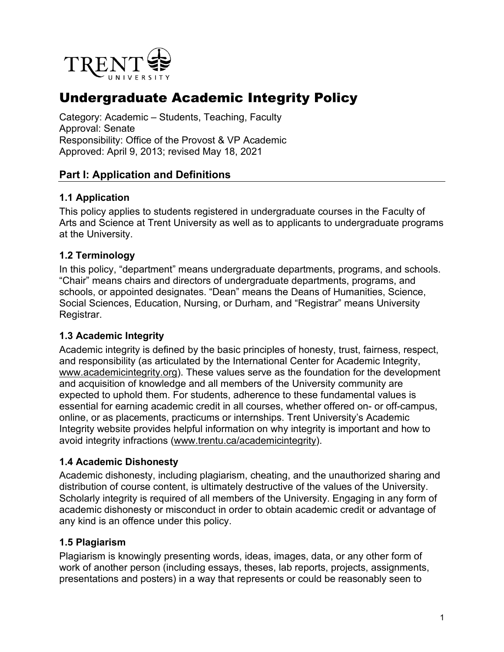

# Undergraduate Academic Integrity Policy

Category: Academic – Students, Teaching, Faculty Approval: Senate Responsibility: Office of the Provost & VP Academic Approved: April 9, 2013; revised May 18, 2021

#### **Part I: Application and Definitions**

#### **1.1 Application**

This policy applies to students registered in undergraduate courses in the Faculty of Arts and Science at Trent University as well as to applicants to undergraduate programs at the University.

#### **1.2 Terminology**

In this policy, "department" means undergraduate departments, programs, and schools. "Chair" means chairs and directors of undergraduate departments, programs, and schools, or appointed designates. "Dean" means the Deans of Humanities, Science, Social Sciences, Education, Nursing, or Durham, and "Registrar" means University Registrar.

#### **1.3 Academic Integrity**

Academic integrity is defined by the basic principles of honesty, trust, fairness, respect, and responsibility (as articulated by the International Center for Academic Integrity, [www.academicintegrity.org\)](http://www.academicintegrity.org/). These values serve as the foundation for the development and acquisition of knowledge and all members of the University community are expected to uphold them. For students, adherence to these fundamental values is essential for earning academic credit in all courses, whether offered on- or off-campus, online, or as placements, practicums or internships. Trent University's Academic Integrity website provides helpful information on why integrity is important and how to avoid integrity infractions [\(www.trentu.ca/academicintegrity\)](http://www.trentu.ca/academicintegrity).

#### **1.4 Academic Dishonesty**

Academic dishonesty, including plagiarism, cheating, and the unauthorized sharing and distribution of course content, is ultimately destructive of the values of the University. Scholarly integrity is required of all members of the University. Engaging in any form of academic dishonesty or misconduct in order to obtain academic credit or advantage of any kind is an offence under this policy.

#### **1.5 Plagiarism**

Plagiarism is knowingly presenting words, ideas, images, data, or any other form of work of another person (including essays, theses, lab reports, projects, assignments, presentations and posters) in a way that represents or could be reasonably seen to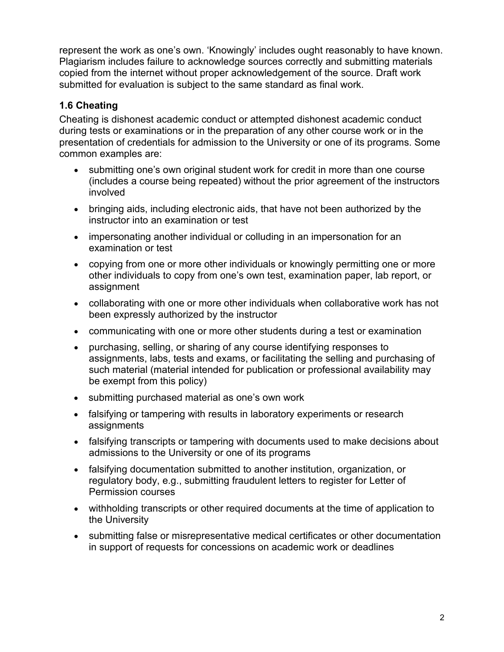represent the work as one's own. 'Knowingly' includes ought reasonably to have known. Plagiarism includes failure to acknowledge sources correctly and submitting materials copied from the internet without proper acknowledgement of the source. Draft work submitted for evaluation is subject to the same standard as final work.

# **1.6 Cheating**

Cheating is dishonest academic conduct or attempted dishonest academic conduct during tests or examinations or in the preparation of any other course work or in the presentation of credentials for admission to the University or one of its programs. Some common examples are:

- submitting one's own original student work for credit in more than one course (includes a course being repeated) without the prior agreement of the instructors involved
- bringing aids, including electronic aids, that have not been authorized by the instructor into an examination or test
- impersonating another individual or colluding in an impersonation for an examination or test
- copying from one or more other individuals or knowingly permitting one or more other individuals to copy from one's own test, examination paper, lab report, or assignment
- collaborating with one or more other individuals when collaborative work has not been expressly authorized by the instructor
- communicating with one or more other students during a test or examination
- purchasing, selling, or sharing of any course identifying responses to assignments, labs, tests and exams, or facilitating the selling and purchasing of such material (material intended for publication or professional availability may be exempt from this policy)
- submitting purchased material as one's own work
- falsifying or tampering with results in laboratory experiments or research assignments
- falsifying transcripts or tampering with documents used to make decisions about admissions to the University or one of its programs
- falsifying documentation submitted to another institution, organization, or regulatory body, e.g., submitting fraudulent letters to register for Letter of Permission courses
- withholding transcripts or other required documents at the time of application to the University
- submitting false or misrepresentative medical certificates or other documentation in support of requests for concessions on academic work or deadlines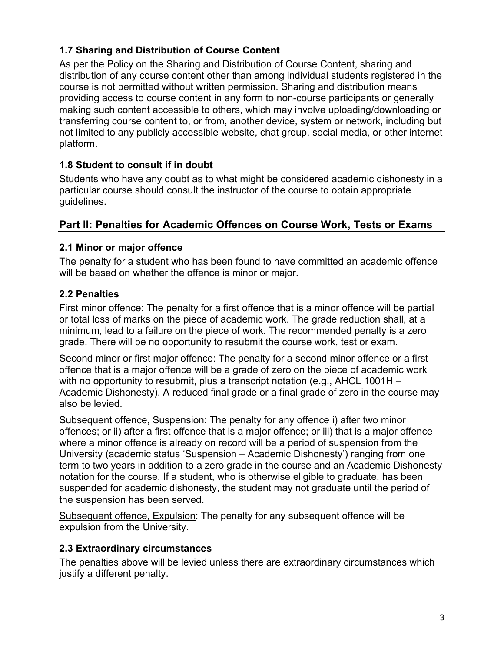# **1.7 Sharing and Distribution of Course Content**

As per the Policy on the Sharing and Distribution of Course Content, sharing and distribution of any course content other than among individual students registered in the course is not permitted without written permission. Sharing and distribution means providing access to course content in any form to non-course participants or generally making such content accessible to others, which may involve uploading/downloading or transferring course content to, or from, another device, system or network, including but not limited to any publicly accessible website, chat group, social media, or other internet platform.

# **1.8 Student to consult if in doubt**

Students who have any doubt as to what might be considered academic dishonesty in a particular course should consult the instructor of the course to obtain appropriate guidelines.

# **Part II: Penalties for Academic Offences on Course Work, Tests or Exams**

# **2.1 Minor or major offence**

The penalty for a student who has been found to have committed an academic offence will be based on whether the offence is minor or major.

# **2.2 Penalties**

First minor offence: The penalty for a first offence that is a minor offence will be partial or total loss of marks on the piece of academic work. The grade reduction shall, at a minimum, lead to a failure on the piece of work. The recommended penalty is a zero grade. There will be no opportunity to resubmit the course work, test or exam.

Second minor or first major offence: The penalty for a second minor offence or a first offence that is a major offence will be a grade of zero on the piece of academic work with no opportunity to resubmit, plus a transcript notation (e.g., AHCL 1001H – Academic Dishonesty). A reduced final grade or a final grade of zero in the course may also be levied.

Subsequent offence, Suspension: The penalty for any offence i) after two minor offences; or ii) after a first offence that is a major offence; or iii) that is a major offence where a minor offence is already on record will be a period of suspension from the University (academic status 'Suspension – Academic Dishonesty') ranging from one term to two years in addition to a zero grade in the course and an Academic Dishonesty notation for the course. If a student, who is otherwise eligible to graduate, has been suspended for academic dishonesty, the student may not graduate until the period of the suspension has been served.

Subsequent offence, Expulsion: The penalty for any subsequent offence will be expulsion from the University.

# **2.3 Extraordinary circumstances**

The penalties above will be levied unless there are extraordinary circumstances which justify a different penalty.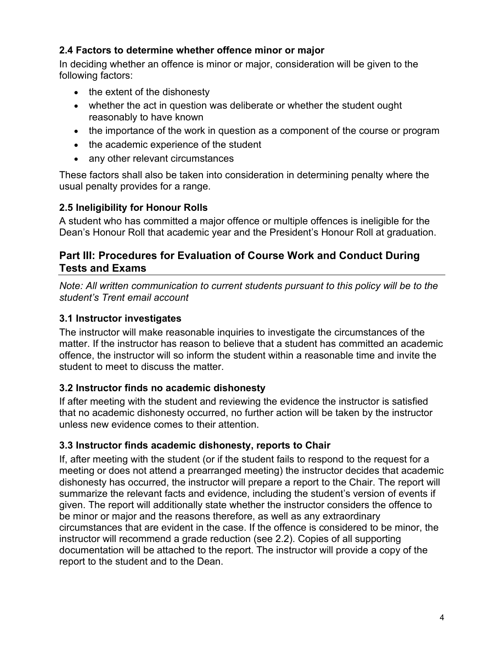# **2.4 Factors to determine whether offence minor or major**

In deciding whether an offence is minor or major, consideration will be given to the following factors:

- the extent of the dishonesty
- whether the act in question was deliberate or whether the student ought reasonably to have known
- the importance of the work in question as a component of the course or program
- the academic experience of the student
- any other relevant circumstances

These factors shall also be taken into consideration in determining penalty where the usual penalty provides for a range.

# **2.5 Ineligibility for Honour Rolls**

A student who has committed a major offence or multiple offences is ineligible for the Dean's Honour Roll that academic year and the President's Honour Roll at graduation.

#### **Part III: Procedures for Evaluation of Course Work and Conduct During Tests and Exams**

*Note: All written communication to current students pursuant to this policy will be to the student's Trent email account* 

# **3.1 Instructor investigates**

The instructor will make reasonable inquiries to investigate the circumstances of the matter. If the instructor has reason to believe that a student has committed an academic offence, the instructor will so inform the student within a reasonable time and invite the student to meet to discuss the matter.

#### **3.2 Instructor finds no academic dishonesty**

If after meeting with the student and reviewing the evidence the instructor is satisfied that no academic dishonesty occurred, no further action will be taken by the instructor unless new evidence comes to their attention.

#### **3.3 Instructor finds academic dishonesty, reports to Chair**

If, after meeting with the student (or if the student fails to respond to the request for a meeting or does not attend a prearranged meeting) the instructor decides that academic dishonesty has occurred, the instructor will prepare a report to the Chair. The report will summarize the relevant facts and evidence, including the student's version of events if given. The report will additionally state whether the instructor considers the offence to be minor or major and the reasons therefore, as well as any extraordinary circumstances that are evident in the case. If the offence is considered to be minor, the instructor will recommend a grade reduction (see 2.2). Copies of all supporting documentation will be attached to the report. The instructor will provide a copy of the report to the student and to the Dean.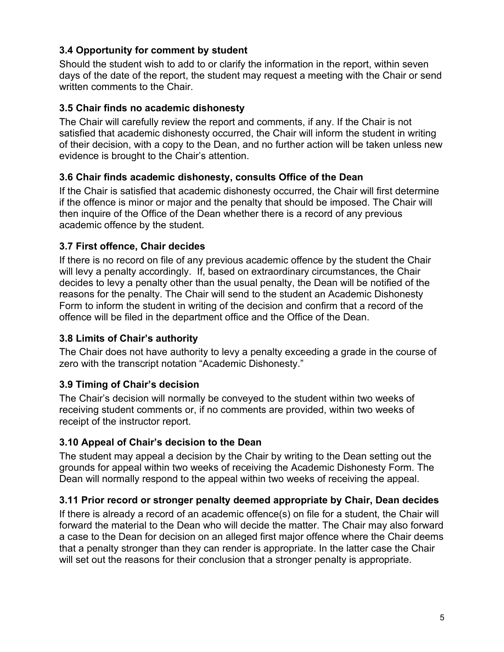# **3.4 Opportunity for comment by student**

Should the student wish to add to or clarify the information in the report, within seven days of the date of the report, the student may request a meeting with the Chair or send written comments to the Chair.

#### **3.5 Chair finds no academic dishonesty**

The Chair will carefully review the report and comments, if any. If the Chair is not satisfied that academic dishonesty occurred, the Chair will inform the student in writing of their decision, with a copy to the Dean, and no further action will be taken unless new evidence is brought to the Chair's attention.

#### **3.6 Chair finds academic dishonesty, consults Office of the Dean**

If the Chair is satisfied that academic dishonesty occurred, the Chair will first determine if the offence is minor or major and the penalty that should be imposed. The Chair will then inquire of the Office of the Dean whether there is a record of any previous academic offence by the student.

# **3.7 First offence, Chair decides**

If there is no record on file of any previous academic offence by the student the Chair will levy a penalty accordingly. If, based on extraordinary circumstances, the Chair decides to levy a penalty other than the usual penalty, the Dean will be notified of the reasons for the penalty. The Chair will send to the student an Academic Dishonesty Form to inform the student in writing of the decision and confirm that a record of the offence will be filed in the department office and the Office of the Dean.

#### **3.8 Limits of Chair's authority**

The Chair does not have authority to levy a penalty exceeding a grade in the course of zero with the transcript notation "Academic Dishonesty."

# **3.9 Timing of Chair's decision**

The Chair's decision will normally be conveyed to the student within two weeks of receiving student comments or, if no comments are provided, within two weeks of receipt of the instructor report.

#### **3.10 Appeal of Chair's decision to the Dean**

The student may appeal a decision by the Chair by writing to the Dean setting out the grounds for appeal within two weeks of receiving the Academic Dishonesty Form. The Dean will normally respond to the appeal within two weeks of receiving the appeal.

#### **3.11 Prior record or stronger penalty deemed appropriate by Chair, Dean decides**

If there is already a record of an academic offence(s) on file for a student, the Chair will forward the material to the Dean who will decide the matter. The Chair may also forward a case to the Dean for decision on an alleged first major offence where the Chair deems that a penalty stronger than they can render is appropriate. In the latter case the Chair will set out the reasons for their conclusion that a stronger penalty is appropriate.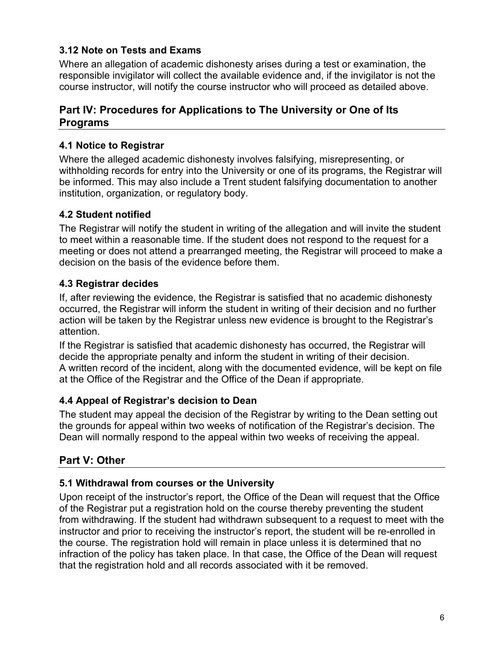# **3.12 Note on Tests and Exams**

Where an allegation of academic dishonesty arises during a test or examination, the responsible invigilator will collect the available evidence and, if the invigilator is not the course instructor, will notify the course instructor who will proceed as detailed above.

# **Part IV: Procedures for Applications to The University or One of Its Programs**

#### **4.1 Notice to Registrar**

Where the alleged academic dishonesty involves falsifying, misrepresenting, or withholding records for entry into the University or one of its programs, the Registrar will be informed. This may also include a Trent student falsifying documentation to another institution, organization, or regulatory body.

# **4.2 Student notified**

The Registrar will notify the student in writing of the allegation and will invite the student to meet within a reasonable time. If the student does not respond to the request for a meeting or does not attend a prearranged meeting, the Registrar will proceed to make a decision on the basis of the evidence before them.

# **4.3 Registrar decides**

If, after reviewing the evidence, the Registrar is satisfied that no academic dishonesty occurred, the Registrar will inform the student in writing of their decision and no further action will be taken by the Registrar unless new evidence is brought to the Registrar's attention.

If the Registrar is satisfied that academic dishonesty has occurred, the Registrar will decide the appropriate penalty and inform the student in writing of their decision. A written record of the incident, along with the documented evidence, will be kept on file at the Office of the Registrar and the Office of the Dean if appropriate.

# **4.4 Appeal of Registrar's decision to Dean**

The student may appeal the decision of the Registrar by writing to the Dean setting out the grounds for appeal within two weeks of notification of the Registrar's decision. The Dean will normally respond to the appeal within two weeks of receiving the appeal.

# **Part V: Other**

#### **5.1 Withdrawal from courses or the University**

Upon receipt of the instructor's report, the Office of the Dean will request that the Office of the Registrar put a registration hold on the course thereby preventing the student from withdrawing. If the student had withdrawn subsequent to a request to meet with the instructor and prior to receiving the instructor's report, the student will be re-enrolled in the course. The registration hold will remain in place unless it is determined that no infraction of the policy has taken place. In that case, the Office of the Dean will request that the registration hold and all records associated with it be removed.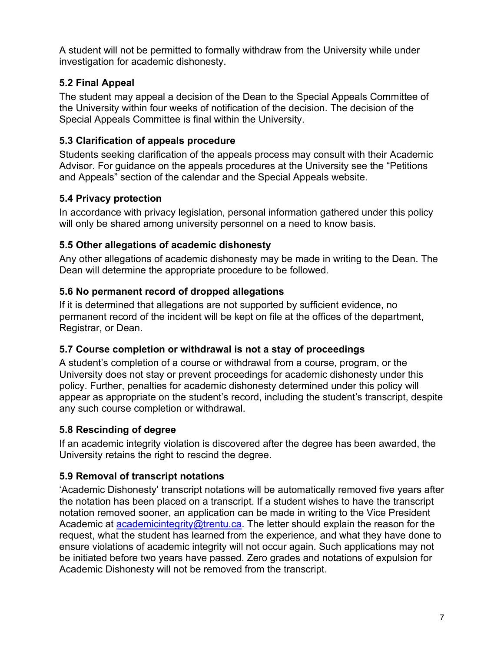A student will not be permitted to formally withdraw from the University while under investigation for academic dishonesty.

# **5.2 Final Appeal**

The student may appeal a decision of the Dean to the Special Appeals Committee of the University within four weeks of notification of the decision. The decision of the Special Appeals Committee is final within the University.

# **5.3 Clarification of appeals procedure**

Students seeking clarification of the appeals process may consult with their Academic Advisor. For guidance on the appeals procedures at the University see the "Petitions and Appeals" section of the calendar and the Special Appeals website.

# **5.4 Privacy protection**

In accordance with privacy legislation, personal information gathered under this policy will only be shared among university personnel on a need to know basis.

# **5.5 Other allegations of academic dishonesty**

Any other allegations of academic dishonesty may be made in writing to the Dean. The Dean will determine the appropriate procedure to be followed.

# **5.6 No permanent record of dropped allegations**

If it is determined that allegations are not supported by sufficient evidence, no permanent record of the incident will be kept on file at the offices of the department, Registrar, or Dean.

# **5.7 Course completion or withdrawal is not a stay of proceedings**

A student's completion of a course or withdrawal from a course, program, or the University does not stay or prevent proceedings for academic dishonesty under this policy. Further, penalties for academic dishonesty determined under this policy will appear as appropriate on the student's record, including the student's transcript, despite any such course completion or withdrawal.

# **5.8 Rescinding of degree**

If an academic integrity violation is discovered after the degree has been awarded, the University retains the right to rescind the degree.

# **5.9 Removal of transcript notations**

'Academic Dishonesty' transcript notations will be automatically removed five years after the notation has been placed on a transcript. If a student wishes to have the transcript notation removed sooner, an application can be made in writing to the Vice President Academic at [academicintegrity@trentu.ca.](mailto:academicintegrity@trentu.ca) The letter should explain the reason for the request, what the student has learned from the experience, and what they have done to ensure violations of academic integrity will not occur again. Such applications may not be initiated before two years have passed. Zero grades and notations of expulsion for Academic Dishonesty will not be removed from the transcript.